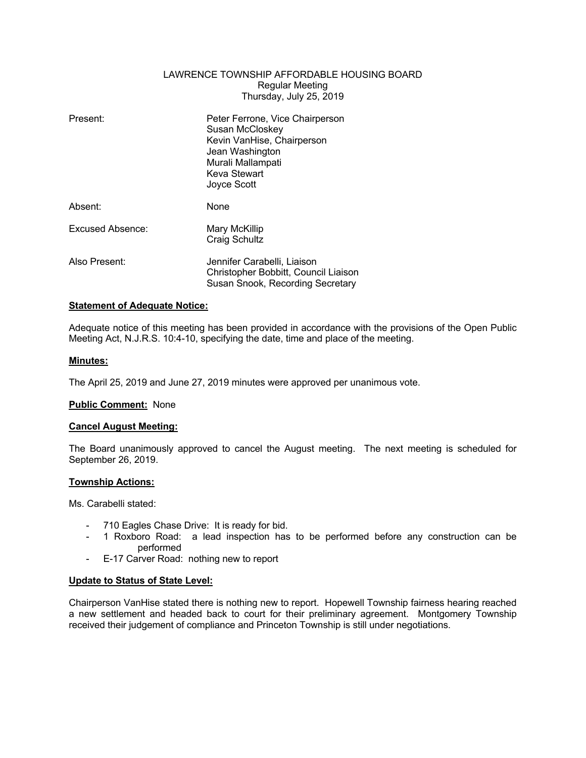# LAWRENCE TOWNSHIP AFFORDABLE HOUSING BOARD Regular Meeting Thursday, July 25, 2019

| Present:         | Peter Ferrone, Vice Chairperson<br>Susan McCloskey<br>Kevin VanHise, Chairperson                        |
|------------------|---------------------------------------------------------------------------------------------------------|
|                  | Jean Washington<br>Murali Mallampati<br>Keva Stewart                                                    |
|                  | Joyce Scott                                                                                             |
| Absent:          | None                                                                                                    |
| Excused Absence: | Mary McKillip<br>Craig Schultz                                                                          |
| Also Present:    | Jennifer Carabelli, Liaison<br>Christopher Bobbitt, Council Liaison<br>Susan Snook, Recording Secretary |

## **Statement of Adequate Notice:**

Adequate notice of this meeting has been provided in accordance with the provisions of the Open Public Meeting Act, N.J.R.S. 10:4-10, specifying the date, time and place of the meeting.

#### **Minutes:**

The April 25, 2019 and June 27, 2019 minutes were approved per unanimous vote.

#### **Public Comment:** None

### **Cancel August Meeting:**

The Board unanimously approved to cancel the August meeting. The next meeting is scheduled for September 26, 2019.

#### **Township Actions:**

Ms. Carabelli stated:

- 710 Eagles Chase Drive: It is ready for bid.
- 1 Roxboro Road: a lead inspection has to be performed before any construction can be performed
- E-17 Carver Road: nothing new to report

#### **Update to Status of State Level:**

Chairperson VanHise stated there is nothing new to report. Hopewell Township fairness hearing reached a new settlement and headed back to court for their preliminary agreement. Montgomery Township received their judgement of compliance and Princeton Township is still under negotiations.